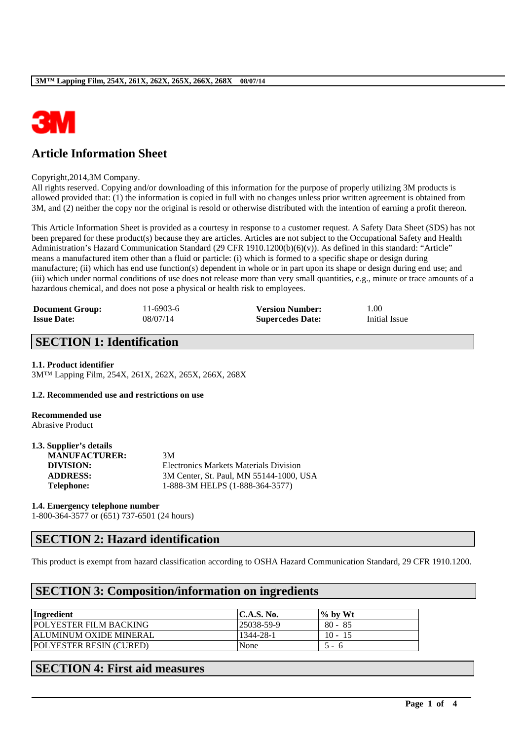

# **Article Information Sheet**

#### Copyright,2014,3M Company.

All rights reserved. Copying and/or downloading of this information for the purpose of properly utilizing 3M products is allowed provided that: (1) the information is copied in full with no changes unless prior written agreement is obtained from 3M, and (2) neither the copy nor the original is resold or otherwise distributed with the intention of earning a profit thereon.

This Article Information Sheet is provided as a courtesy in response to a customer request. A Safety Data Sheet (SDS) has not been prepared for these product(s) because they are articles. Articles are not subject to the Occupational Safety and Health Administration's Hazard Communication Standard (29 CFR 1910.1200(b)(6)(v)). As defined in this standard: "Article" means a manufactured item other than a fluid or particle: (i) which is formed to a specific shape or design during manufacture; (ii) which has end use function(s) dependent in whole or in part upon its shape or design during end use; and (iii) which under normal conditions of use does not release more than very small quantities, e.g., minute or trace amounts of a hazardous chemical, and does not pose a physical or health risk to employees.

| <b>Document Group:</b> | $11-6903-6$ | <b>Version Number:</b>  | 1.00          |
|------------------------|-------------|-------------------------|---------------|
| <b>Issue Date:</b>     | 08/07/14    | <b>Supercedes Date:</b> | Initial Issue |

## **SECTION 1: Identification**

### **1.1. Product identifier**

3M™ Lapping Film, 254X, 261X, 262X, 265X, 266X, 268X

### **1.2. Recommended use and restrictions on use**

**Recommended use** Abrasive Product

**1.3. Supplier's details**

| 1.3. Supplier's details |                                         |
|-------------------------|-----------------------------------------|
| <b>MANUFACTURER:</b>    | 3M                                      |
| DIVISION:               | Electronics Markets Materials Division  |
| <b>ADDRESS:</b>         | 3M Center, St. Paul, MN 55144-1000, USA |
| Telephone:              | 1-888-3M HELPS (1-888-364-3577)         |
|                         |                                         |

#### **1.4. Emergency telephone number**

1-800-364-3577 or (651) 737-6501 (24 hours)

### **SECTION 2: Hazard identification**

This product is exempt from hazard classification according to OSHA Hazard Communication Standard, 29 CFR 1910.1200.

\_\_\_\_\_\_\_\_\_\_\_\_\_\_\_\_\_\_\_\_\_\_\_\_\_\_\_\_\_\_\_\_\_\_\_\_\_\_\_\_\_\_\_\_\_\_\_\_\_\_\_\_\_\_\_\_\_\_\_\_\_\_\_\_\_\_\_\_\_\_\_\_\_\_\_\_\_\_\_\_\_\_\_\_\_\_\_\_\_\_

## **SECTION 3: Composition/information on ingredients**

| Ingredient                     | $\mathsf{IC.A.S.}\,\mathsf{No.}$ | $\%$ by Wt             |
|--------------------------------|----------------------------------|------------------------|
| <b>POLYESTER FILM BACKING</b>  | 25038-59-9                       | $80 - 85$              |
| <b>ALUMINUM OXIDE MINERAL</b>  | 1344-28-1                        | $10 - 15$              |
| <b>POLYESTER RESIN (CURED)</b> | None                             | $\sim$<br><sup>t</sup> |

## **SECTION 4: First aid measures**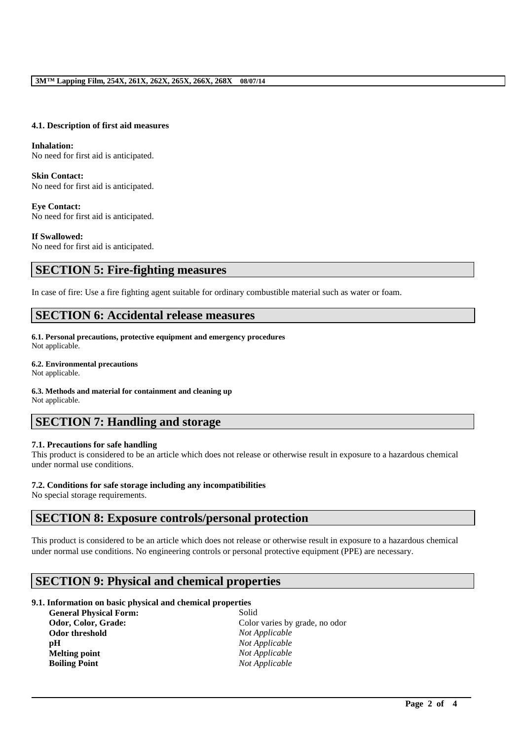### **4.1. Description of first aid measures**

### **Inhalation:**  No need for first aid is anticipated.

**Skin Contact:**  No need for first aid is anticipated.

**Eye Contact:**  No need for first aid is anticipated.

**If Swallowed:**  No need for first aid is anticipated.

## **SECTION 5: Fire-fighting measures**

In case of fire: Use a fire fighting agent suitable for ordinary combustible material such as water or foam.

### **SECTION 6: Accidental release measures**

**6.1. Personal precautions, protective equipment and emergency procedures** Not applicable.

#### **6.2. Environmental precautions**

Not applicable.

**6.3. Methods and material for containment and cleaning up**

Not applicable.

## **SECTION 7: Handling and storage**

### **7.1. Precautions for safe handling**

This product is considered to be an article which does not release or otherwise result in exposure to a hazardous chemical under normal use conditions.

### **7.2. Conditions for safe storage including any incompatibilities**

No special storage requirements.

## **SECTION 8: Exposure controls/personal protection**

This product is considered to be an article which does not release or otherwise result in exposure to a hazardous chemical under normal use conditions. No engineering controls or personal protective equipment (PPE) are necessary.

\_\_\_\_\_\_\_\_\_\_\_\_\_\_\_\_\_\_\_\_\_\_\_\_\_\_\_\_\_\_\_\_\_\_\_\_\_\_\_\_\_\_\_\_\_\_\_\_\_\_\_\_\_\_\_\_\_\_\_\_\_\_\_\_\_\_\_\_\_\_\_\_\_\_\_\_\_\_\_\_\_\_\_\_\_\_\_\_\_\_

## **SECTION 9: Physical and chemical properties**

### **9.1. Information on basic physical and chemical properties**

| <b>General Physical Form:</b> | Solid                          |
|-------------------------------|--------------------------------|
| Odor, Color, Grade:           | Color varies by grade, no odor |
| Odor threshold                | Not Applicable                 |
| рH                            | Not Applicable                 |
| <b>Melting point</b>          | Not Applicable                 |
| <b>Boiling Point</b>          | Not Applicable                 |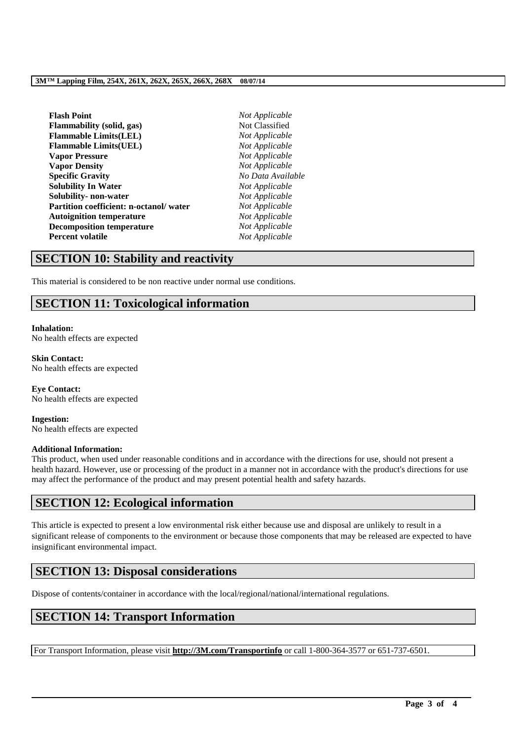| <b>Flash Point</b>                     | Not Applicable    |  |
|----------------------------------------|-------------------|--|
| Flammability (solid, gas)              | Not Classified    |  |
| <b>Flammable Limits(LEL)</b>           | Not Applicable    |  |
| <b>Flammable Limits(UEL)</b>           | Not Applicable    |  |
| <b>Vapor Pressure</b>                  | Not Applicable    |  |
| <b>Vapor Density</b>                   | Not Applicable    |  |
| <b>Specific Gravity</b>                | No Data Available |  |
| <b>Solubility In Water</b>             | Not Applicable    |  |
| Solubility- non-water                  | Not Applicable    |  |
| Partition coefficient: n-octanol/water | Not Applicable    |  |
| <b>Autoignition temperature</b>        | Not Applicable    |  |
| <b>Decomposition temperature</b>       | Not Applicable    |  |
| Percent volatile                       | Not Applicable    |  |
|                                        |                   |  |

### **SECTION 10: Stability and reactivity**

This material is considered to be non reactive under normal use conditions.

# **SECTION 11: Toxicological information**

**Inhalation:** No health effects are expected

**Skin Contact:** No health effects are expected

**Eye Contact:** No health effects are expected

**Ingestion:** No health effects are expected

### **Additional Information:**

This product, when used under reasonable conditions and in accordance with the directions for use, should not present a health hazard. However, use or processing of the product in a manner not in accordance with the product's directions for use may affect the performance of the product and may present potential health and safety hazards.

## **SECTION 12: Ecological information**

This article is expected to present a low environmental risk either because use and disposal are unlikely to result in a significant release of components to the environment or because those components that may be released are expected to have insignificant environmental impact.

## **SECTION 13: Disposal considerations**

Dispose of contents/container in accordance with the local/regional/national/international regulations.

## **SECTION 14: Transport Information**

For Transport Information, please visit **http://3M.com/Transportinfo** or call 1-800-364-3577 or 651-737-6501.

\_\_\_\_\_\_\_\_\_\_\_\_\_\_\_\_\_\_\_\_\_\_\_\_\_\_\_\_\_\_\_\_\_\_\_\_\_\_\_\_\_\_\_\_\_\_\_\_\_\_\_\_\_\_\_\_\_\_\_\_\_\_\_\_\_\_\_\_\_\_\_\_\_\_\_\_\_\_\_\_\_\_\_\_\_\_\_\_\_\_